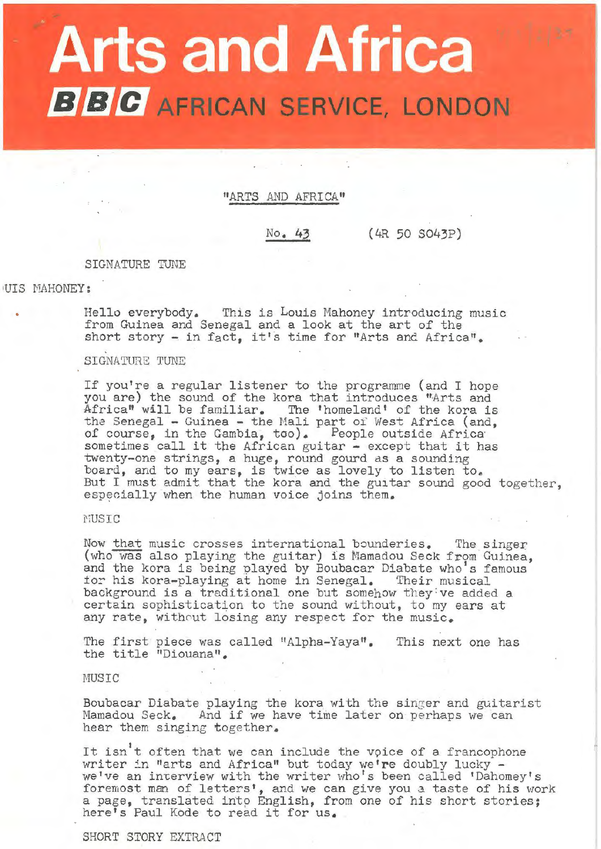# **Arts and Africa BBC** AFRICAN SERVICE, LONDON

"ARTS AND AFRICA"

No. **43** (4R 50 S043P)

### SIGNATURE TuNE

#### 1UIS MAHONEY:

Hello everybody. This is Louis Mahoney introducing music from Guinea and Senegal and a look at the art of the short story - in fact, it's time for "Arts and Africa".

SIGNATURE TUNE

If you're a regular listener to the programme (and I hope you are) the sound of the kora that introduces "Arts and Africa" will be familiar. The 'homeland' of the kora is the Senegal - Guinea - the Mali part of West Africa (and, of course, in the Gambia, too). People outside Africa<br>sometimes call it the African guitar - except that it has twenty-one strings, a huge, round gourd as a sounding board, and to my ears, is twice as lovely to listen to. But I must admit that the kora and the guitar sound good together, especially when the human voice joins them.

# MUSIC

Now that music crosses international bounderies. The singer (who was also playing the guitar) is Mamadou Seck from Guinea, and the kora is being played by Boubacar Diabate who's famous Ind the hord is being played by Boubacar Blassie who s is<br>for his kora-playing at home in Senegal. Their musical background is a traditional one but somehow they ve added a certain sophistication to the sound without, to my ears at any rate, without losing any respect for the music.

The first piece was called "Alpha-Yaya". This next one has the title "Diouana".

MUSIC

Boubacar Diabate playing the kora with the singer and guitarist Mamadou Seck. And if we have time later on perhaps we can hear them singing together.

It isn't often that we can include the voice of a francophone writer in "arts and Africa" but today we're doubly lucky - we've an interview with the writer who's been called 'Dahomey's foremost man of letters', and we can give you a taste of his work a page, translated into English, from one of his short stories; here's Paul Kode to read it for us.

SHORT STORY EXTRACT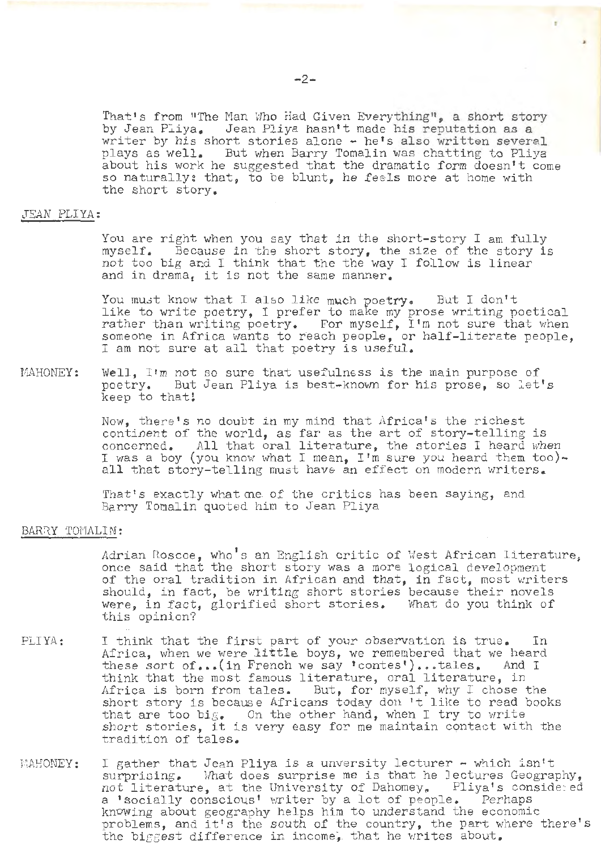That's from "The Man Who Had Given Everything", a short story by Jean Pliya. Jean Pliya hasn't made his reputation as a writer by his short stories alone - he's also written several plays as well. But when Barry Tomalin was chatting to Pliya about his work he suggested that the dramatic form doesn't come so naturally: that, to be blunt, he feels more at home with the short story.

# JEAN PLIYA:

You are right when you say that in the short-story I am fully myself. Because in the short story, the size of the story is not too big and I think that the the way I follow is linear and in drama, it is not the same manner.

You must know that I also like much poetry. But I don't like to write poetry, I prefer to make my prose writing poetical rather than writing poetry. For myself, I'm not sure that when someone in Africa wants to reach people, or half-literate people, I am not sure at all that poetry is useful.

MAHONEY: Well,  $I'm$  not so sure that usefulness is the main purpose of poetry. But Jean Pliya is best-known for his prose, so let's keep to that!

> Now, there's no doubt in my mind that Africa's the richest continent of the world, as far as the art of story-telling is concerned. All that oral literature, the stories I heard when I was a boy (you know what I mean, I'm sure you heard them too) all that story-telling must have an effect on modern writers.

That's exactly what me, of the critics has been saying, and Barry Tomalin quoted him to Jean Pliya

## BARRY TOMALIN:

Adrian Roscoe, who's an English critic of West African literature, once said that the short story was a more logical development of the oral tradition in African and that, in fact, most writers should, in fact, be writing short stories because their novels<br>were, in fact, glorified short stories. What do you think of were, in fact, glorified short stories. this opinion'?

- PLIYA: I think that the first part of your observation is true. In Africa, when we were **little** boys, we remembered that we heard these sort of ••• (in French we say 'contes') ••• tales. And I think that the most famous literature, oral literature, in Africa is born from tales. But, for myself, why I chose the short story is because Africans today don't like to read books that are too big. On the other hand, when I try to write short stories, it is very easy for me maintain contact with the tradition of tales.
- i'1AHONEY: I gather that Jean Pliya is a unversity lecturer - which isn't surprising. What does surprise me is that he lectures Geogra What does surprise me is that he Jectures Geography,<br>ire. at the University of Dahomey, Pliya's considered not literature, at the University of Dahomey. Pliya's cons<br>a 'socially conscious' writer by a lot of people. Perhaps a 'socially conscious' writer by a lot of people. knowing about geography helps him to understand the economic problems, and it's the south of the country, the part where there's the biggest difference in income, that he writes about.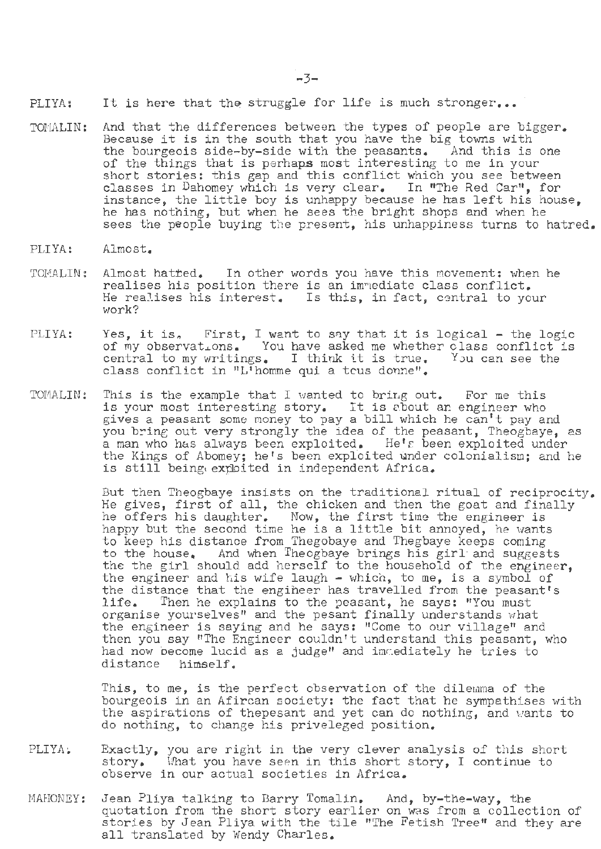PLIYA: It is here that the struggle for life is much stronger...

- TOMALIN: And that the differences between the types of people are bigger. Because it is in the south that you have the big towns with the bourgeois side-by-side with the peasants. And this is one the bourgeois side-by-side with the peasants. of the things that is perhaps most interesting to me in your short stories: this gap and this conflict which you see between classes in Dahomey which is very clear. In "The Red Car", for instance, the little boy is unhappy because he has left his house, he has nothing, but when he sees the bright shops and when he sees the people buying the present, his unhappiness turns to hatred.
- PLIYA: Almost.
- TOMALIN: Almost hatted. In other words you have this movement: when he realises his position there is an imnediate class conflict. He realises his interest. Is this, in fact, central to your work?
- PLIYA: Yes, it is. First, I want to say that it is logical the logic des, it is. This, I want to say that it is logical - the logic<br>of my observations. You have asked me whether class conflict is or my observations. You have asked me whether class conflict:<br>central to my writings. I think it is true. You can see the central to my writings. I think it is true.<br>class conflict in "L'homme qui a tcus donne".
- TOMALIN: This is the example that I wanted to bring out. For me this *is* your most interesting story. It is 2.bout an engineer who gives a peasant some money to pay a bill which he can't pay and gaves a peasant sems hency so pay a size which he can obey and you bring out very strongly the idea of the peasant, Theogbaye, as a man who has always been exploited. He's been exploited under the Kings of Abomey; he's been exploited under colonialism; and he is still being exploited in independent Africa.

But then Theogbaye insists on the traditional ritual of reciprocity. He gives, first of all, the chicken and then the goat and finally he offers his daughter. Now, the first time the engineer is happy but the second time he is a little bit annoyed, he wants to keep his distance from Thegobaye and Thegbaye keeps coming to the house. And when Theogbaye brings his girl· and suggests the the girl should add herself to the household of the engineer, the engineer and his wife laugh - which, to me, is a symbol of the distance that the engiheer has travelled from the peasant's life. Then he explains to the peasant. he says: "You must Then he explains to the peasant, he says: "You must organise yourselves" and the pesant finally understands what the engineer is saying and he says: "Come to our village" and the engineer is baying and he bays. Some to bar virings and then you say "The Engineer couldn't understand this peasant, who had now become lucid as a judge" and imaginately he tries to distance himself.

This, to me, is the perfect observation of the dilemma of the bourgeois in an Afircan society: the fact that he sympathises with the aspirations of thepesant and yet can do nothing, and wants to do nothing, to change his priveleged position.

- PLIYA; Exactly, you are right in the very clever analysis of this short story. What you have seen in this short story, I continue to observe in our actual societies in Africa.
- MAHONEY: Jean Pliya talking to Barry Tomalin. And, by-the-way, the quotation from the short story earlier on was from a collection of stories by Jean Pliya with the tile "The Fetish Tree" and they are all translated by Wendy Charles.